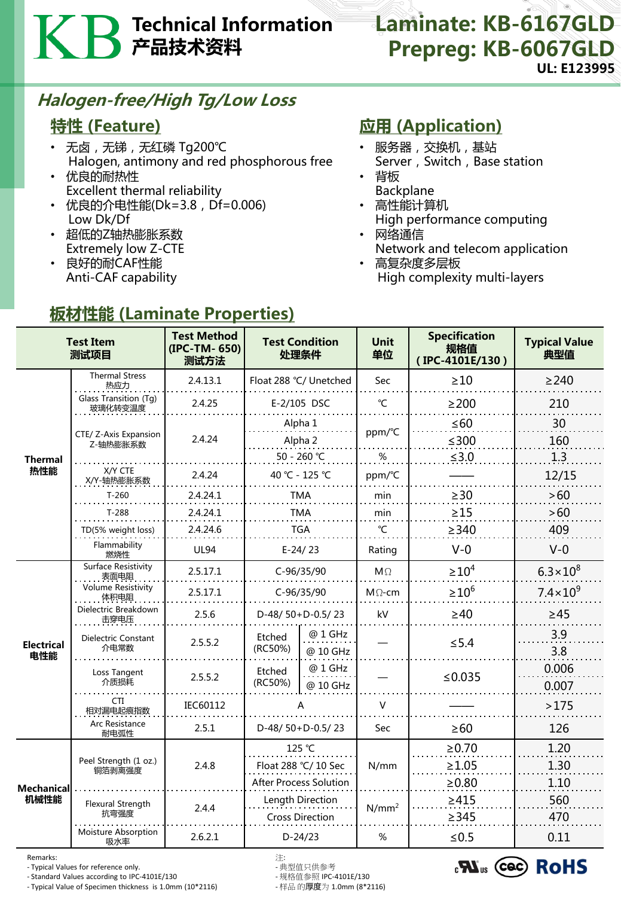# Technical Information 产品技术资料

### Laminate: KB-6167GLD Prepreg: KB-6067GLD UL: E123995

### Halogen-free/High Tg/Low Loss

### 特性 (Feature)

- 无卤 , 无锑 , 无红磷 Tg200℃ Halogen, antimony and red phosphorous free
- 优良的耐热性 Excellent thermal reliability
- 优良的介电性能(Dk=3.8, Df=0.006) Low Dk/Df

板材性能 (Laminate Properties)

- 超低的Z轴热膨胀系数 Extremely low Z-CTE
- 良好的耐CAF性能 Anti-CAF capability

## 应用 (Application)

- 服务器,交换机,基站 Server, Switch, Base station
- 背板
- Backplane • 高性能计算机
- High performance computing • 网络通信
- Network and telecom application
- 高复杂度多层板 High complexity multi-layers

| <b>Test Item</b><br>测试项目 |                                    | <b>Test Method</b><br>(IPC-TM-650)<br>测试方法 | <b>Test Condition</b><br>处理条件              |                     | <b>Unit</b><br>单位 | <b>Specification</b><br>规格值<br>(IPC-4101E/130) | <b>Typical Value</b><br>典型值 |
|--------------------------|------------------------------------|--------------------------------------------|--------------------------------------------|---------------------|-------------------|------------------------------------------------|-----------------------------|
| <b>Thermal</b><br>热性能    | <b>Thermal Stress</b><br>热应力       | 2.4.13.1                                   | Float 288 °C/ Unetched                     |                     | Sec               | $\geq 10$                                      | $\geq$ 240                  |
|                          | Glass Transition (Tg)<br>玻璃化转变温度   | 2.4.25                                     | E-2/105 DSC                                |                     | $\mathrm{C}$      | $\geq$ 200                                     | 210                         |
|                          | CTE/ Z-Axis Expansion<br>Z-轴热膨胀系数  | 2.4.24                                     | Alpha 1<br>Alpha 2                         |                     | ppm/°C            | $\leq 60$<br>$≤300$                            | 30<br>160                   |
|                          |                                    |                                            | 50 - 260 ℃                                 |                     | %                 | $≤3.0$                                         | 1.3                         |
|                          | X/Y CTE<br>X/Y-轴热膨胀系数              | 2.4.24                                     | 40 °C - 125 °C                             |                     | ppm/°C            |                                                | 12/15                       |
|                          | $T-260$                            | 2.4.24.1                                   | <b>TMA</b>                                 |                     | min               | $\geq$ 30                                      | >60                         |
|                          | $T-288$                            | 2.4.24.1                                   | <b>TMA</b>                                 |                     | min               | $\geq$ 15                                      | >60                         |
|                          | TD(5% weight loss)                 | 2.4.24.6                                   | <b>TGA</b>                                 |                     | °C                | $\geq$ 340                                     | 409                         |
|                          | Flammability<br>燃烧性                | <b>UL94</b>                                | $E-24/23$                                  |                     | Rating            | $V-0$                                          | $V-0$                       |
| <b>Electrical</b><br>电性能 | <b>Surface Resistivity</b><br>表面电阻 | 2.5.17.1                                   | C-96/35/90                                 |                     | $M\Omega$         | $\geq 10^4$                                    | $6.3 \times 10^{8}$         |
|                          | <b>Volume Resistivity</b><br>体积电阻  | 2.5.17.1                                   | C-96/35/90                                 |                     | $M\Omega$ -cm     | $\geq 10^6$                                    | $7.4 \times 10^{9}$         |
|                          | Dielectric Breakdown<br>击穿电压       | 2.5.6                                      | D-48/50+D-0.5/23                           |                     | kV                | $\geq 40$                                      | $\geq 45$                   |
|                          | Dielectric Constant<br>介电常数        | 2.5.5.2                                    | Etched<br>(RC50%)                          | @ 1 GHz<br>@ 10 GHz |                   | $\leq$ 5.4                                     | 3.9<br>3.8                  |
|                          | Loss Tangent<br>介质损耗               | 2.5.5.2                                    | Etched<br>(RC50%)                          | @ 1 GHz<br>@ 10 GHz |                   | ≤ $0.035$                                      | 0.006<br>0.007              |
|                          | <b>CTI</b><br>相对漏电起痕指数             | IEC60112                                   |                                            |                     | V                 |                                                | >175                        |
|                          | Arc Resistance<br>耐电弧性             | 2.5.1                                      | D-48/50+D-0.5/23                           |                     | Sec               | $\geq 60$                                      | 126                         |
| Mechanical<br>机械性能       | Peel Strength (1 oz.)<br>铜箔剥离强度    | 2.4.8                                      | 125 °C                                     |                     | N/mm              | $\ge 0.70$                                     | 1.20                        |
|                          |                                    |                                            | Float 288 °C/ 10 Sec                       |                     |                   | $\geq 1.05$                                    | 1.30                        |
|                          |                                    |                                            | <b>After Process Solution</b>              |                     |                   | $\geq 0.80$                                    | 1.10                        |
|                          | <b>Flexural Strength</b><br>抗弯强度   | 2.4.4                                      | Length Direction<br><b>Cross Direction</b> |                     | $N/mm^2$          | $\geq 415$<br>$\geq$ 345                       | 560<br>470                  |
|                          | Moisture Absorption<br>吸水率         | 2.6.2.1                                    | $D-24/23$                                  |                     | %                 | $≤ 0.5$                                        | 0.11                        |

Remarks: 注:

- Typical Values for reference only. - 典型值只供参考

- Standard Values according to IPC-4101E/130 - 规格值参照 IPC-4101E/130 - Typical Value of Specimen thickness is 1.0mm (10\*2116)